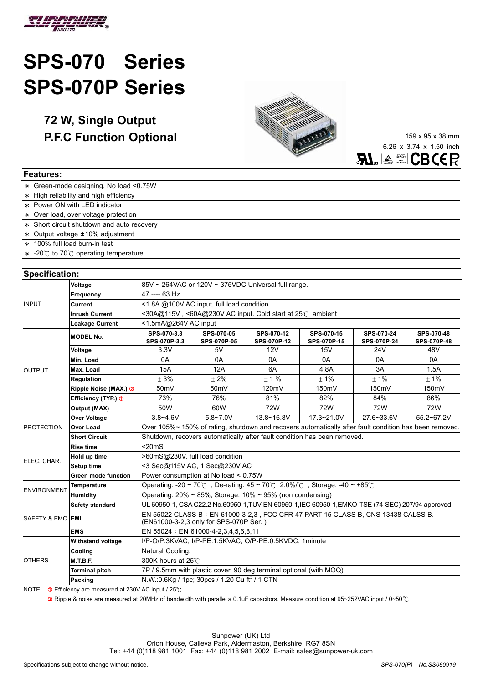

## **SPS-070 Series SPS-070P Series**

**72 W, Single Output P.F.C Function Optional** 159 x 95 x 38 mm



6.26 x 3.74 x 1.50 inch  $\mathbf{AL}_s$   $\triangleq$   $\mathbb{Z}$  CBCER

| <b>Features:</b>                           |  |  |  |  |
|--------------------------------------------|--|--|--|--|
| * Green-mode designing, No load <0.75W     |  |  |  |  |
| * High reliability and high efficiency     |  |  |  |  |
| * Power ON with LED indicator              |  |  |  |  |
| * Over load, over voltage protection       |  |  |  |  |
| * Short circuit shutdown and auto recovery |  |  |  |  |
| $*$ Output voltage $±10\%$ adjustment      |  |  |  |  |
| * 100% full load burn-in test              |  |  |  |  |
| $\ast$ -20°C to 70°C operating temperature |  |  |  |  |

## **Specification:**

| opoomoanom.        |                                |                                                                                                                            |                                  |                           |                           |                           |                                  |
|--------------------|--------------------------------|----------------------------------------------------------------------------------------------------------------------------|----------------------------------|---------------------------|---------------------------|---------------------------|----------------------------------|
|                    | Voltage                        | 85V ~ 264VAC or 120V ~ 375VDC Universal full range.                                                                        |                                  |                           |                           |                           |                                  |
|                    | Frequency                      | 47 ---- 63 Hz                                                                                                              |                                  |                           |                           |                           |                                  |
| <b>INPUT</b>       | Current                        | <1.8A @100V AC input, full load condition                                                                                  |                                  |                           |                           |                           |                                  |
|                    | <b>Inrush Current</b>          | $\leq$ 30A@115V, $\leq$ 60A@230V AC input. Cold start at 25°C ambient                                                      |                                  |                           |                           |                           |                                  |
|                    | <b>Leakage Current</b>         | <1.5mA@264V AC input                                                                                                       |                                  |                           |                           |                           |                                  |
|                    | <b>MODEL No.</b>               | SPS-070-3.3<br>SPS-070P-3.3                                                                                                | SPS-070-05<br><b>SPS-070P-05</b> | SPS-070-12<br>SPS-070P-12 | SPS-070-15<br>SPS-070P-15 | SPS-070-24<br>SPS-070P-24 | SPS-070-48<br><b>SPS-070P-48</b> |
|                    | Voltage                        | 3.3V                                                                                                                       | 5V                               | 12V                       | 15V                       | 24 <sub>V</sub>           | 48V                              |
|                    | Min. Load                      | 0A                                                                                                                         | 0A                               | 0A                        | 0A                        | 0A                        | 0A                               |
| <b>OUTPUT</b>      | Max. Load                      | <b>15A</b>                                                                                                                 | 12A                              | 6A                        | 4.8A                      | 3A                        | 1.5A                             |
|                    | Regulation                     | ± 3%                                                                                                                       | ± 2%                             | ± 1%                      | ± 1%                      | ± 1%                      | ± 1%                             |
|                    | Ripple Noise (MAX.) 2          | 50 <sub>m</sub> V                                                                                                          | 50 <sub>m</sub> V                | 120mV                     | 150mV                     | 150mV                     | 150mV                            |
|                    | Efficiency (TYP.) <sup>1</sup> | 73%                                                                                                                        | 76%                              | 81%                       | 82%                       | 84%                       | 86%                              |
|                    | <b>Output (MAX)</b>            | 50W                                                                                                                        | 60W                              | <b>72W</b>                | <b>72W</b>                | 72W                       | 72W                              |
|                    | Over Voltage                   | $3.8 - 4.6V$                                                                                                               | $5.8 - 7.0V$                     | $13.8 - 16.8V$            | 17.3~21.0V                | 27.6~33.6V                | 55.2~67.2V                       |
| <b>PROTECTION</b>  | <b>Over Load</b>               | Over 105%~ 150% of rating, shutdown and recovers automatically after fault condition has been removed.                     |                                  |                           |                           |                           |                                  |
|                    | <b>Short Circuit</b>           | Shutdown, recovers automatically after fault condition has been removed.                                                   |                                  |                           |                           |                           |                                  |
|                    | <b>Rise time</b>               | $<$ 20 $ms$                                                                                                                |                                  |                           |                           |                           |                                  |
| ELEC. CHAR.        | Hold up time                   | >60mS@230V, full load condition                                                                                            |                                  |                           |                           |                           |                                  |
|                    | Setup time                     | <3 Sec@115V AC, 1 Sec@230V AC                                                                                              |                                  |                           |                           |                           |                                  |
|                    | Green mode function            | Power consumption at No load < 0.75W                                                                                       |                                  |                           |                           |                           |                                  |
| <b>ENVIRONMENT</b> | <b>Temperature</b>             | Operating: -20 ~ 70°C; De-rating: $45 \sim 70^{\circ}$ C: 2.0%/°C; Storage: -40 ~ +85°C                                    |                                  |                           |                           |                           |                                  |
|                    | <b>Humidity</b>                | Operating: $20\% \sim 85\%$ ; Storage: 10% ~ 95% (non condensing)                                                          |                                  |                           |                           |                           |                                  |
|                    | Safety standard                | UL 60950-1, CSA C22.2 No.60950-1, TUV EN 60950-1, IEC 60950-1, EMKO-TSE (74-SEC) 207/94 approved.                          |                                  |                           |                           |                           |                                  |
| SAFETY & EMC       | <b>EMI</b>                     | EN 55022 CLASS B: EN 61000-3-2,3, FCC CFR 47 PART 15 CLASS B, CNS 13438 CALSS B.<br>(EN61000-3-2,3 only for SPS-070P Ser.) |                                  |                           |                           |                           |                                  |
|                    | EMS                            | EN 55024 : EN 61000-4-2,3,4,5,6,8,11                                                                                       |                                  |                           |                           |                           |                                  |
|                    | <b>Withstand voltage</b>       | I/P-O/P:3KVAC, I/P-PE:1.5KVAC, O/P-PE:0.5KVDC, 1minute                                                                     |                                  |                           |                           |                           |                                  |
|                    | Cooling                        | Natural Cooling.                                                                                                           |                                  |                           |                           |                           |                                  |
| <b>OTHERS</b>      | <b>M.T.B.F.</b>                | 300K hours at 25°C                                                                                                         |                                  |                           |                           |                           |                                  |
|                    | <b>Terminal pitch</b>          | 7P / 9.5mm with plastic cover, 90 deg terminal optional (with MOQ)                                                         |                                  |                           |                           |                           |                                  |
|                    | Packing                        | N.W.:0.6Kg / 1pc; 30pcs / 1.20 Cu ft <sup>3</sup> / 1 CTN                                                                  |                                  |                           |                           |                           |                                  |
|                    |                                |                                                                                                                            |                                  |                           |                           |                           |                                  |

NOTE:  $\Phi$  Efficiency are measured at 230V AC input / 25 $\degree$ C.

 $\Omega$  Ripple & noise are measured at 20MHz of bandwidth with parallel a 0.1uF capacitors. Measure condition at 95~252VAC input / 0~50 °C